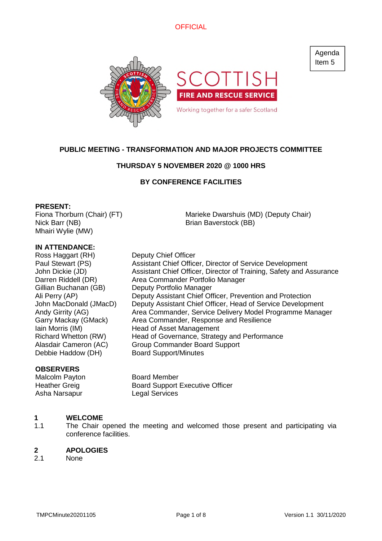

# **PUBLIC MEETING - TRANSFORMATION AND MAJOR PROJECTS COMMITTEE**

## **THURSDAY 5 NOVEMBER 2020 @ 1000 HRS**

# **BY CONFERENCE FACILITIES**

## **PRESENT:**

Fiona Thorburn (Chair) (FT) Nick Barr (NB) Mhairi Wylie (MW)

Marieke Dwarshuis (MD) (Deputy Chair) Brian Baverstock (BB)

Deputy Assistant Chief Officer, Head of Service Development

## **IN ATTENDANCE:**

Ross Haggart (RH) Deputy Chief Officer Paul Stewart (PS) Assistant Chief Officer, Director of Service Development John Dickie (JD) Assistant Chief Officer, Director of Training, Safety and Assurance Darren Riddell (DR) Area Commander Portfolio Manager Gillian Buchanan (GB) Deputy Portfolio Manager Ali Perry (AP) Deputy Assistant Chief Officer, Prevention and Protection<br>John MacDonald (JMacD) Deputy Assistant Chief Officer, Head of Service Developm Andy Girrity (AG) **Area Commander, Service Delivery Model Programme Manager** Garry Mackay (GMack) Area Commander, Response and Resilience Iain Morris (IM) **Head of Asset Management** Richard Whetton (RW) Head of Governance, Strategy and Performance Alasdair Cameron (AC) Group Commander Board Support Debbie Haddow (DH) Board Support/Minutes

## **OBSERVERS**

Asha Narsapur Legal Services

Malcolm Payton **Board Member** Heather Greig Board Support Executive Officer

### **1 WELCOME**

1.1 The Chair opened the meeting and welcomed those present and participating via conference facilities.

### **2 APOLOGIES**

2.1 None

Agenda Item 5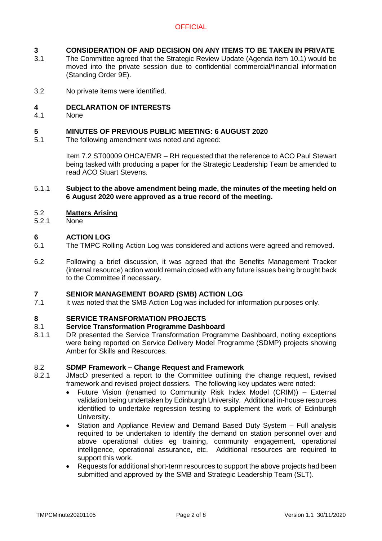## **3 CONSIDERATION OF AND DECISION ON ANY ITEMS TO BE TAKEN IN PRIVATE**

- 3.1 The Committee agreed that the Strategic Review Update (Agenda item 10.1) would be moved into the private session due to confidential commercial/financial information (Standing Order 9E).
- 3.2 No private items were identified.

## **4 DECLARATION OF INTERESTS**

4.1 None

### **5 MINUTES OF PREVIOUS PUBLIC MEETING: 6 AUGUST 2020**

5.1 The following amendment was noted and agreed:

> Item 7.2 ST00009 OHCA/EMR – RH requested that the reference to ACO Paul Stewart being tasked with producing a paper for the Strategic Leadership Team be amended to read ACO Stuart Stevens.

5.1.1 **Subject to the above amendment being made, the minutes of the meeting held on 6 August 2020 were approved as a true record of the meeting.**

### 5.2 **Matters Arising**

5.2.1 None

## **6 ACTION LOG**

- 6.1 The TMPC Rolling Action Log was considered and actions were agreed and removed.
- 6.2 Following a brief discussion, it was agreed that the Benefits Management Tracker (internal resource) action would remain closed with any future issues being brought back to the Committee if necessary.

## **7 SENIOR MANAGEMENT BOARD (SMB) ACTION LOG**

7.1 It was noted that the SMB Action Log was included for information purposes only.

### **8 SERVICE TRANSFORMATION PROJECTS**

### 8.1 **Service Transformation Programme Dashboard**

8.1.1 DR presented the Service Transformation Programme Dashboard, noting exceptions were being reported on Service Delivery Model Programme (SDMP) projects showing Amber for Skills and Resources.

### 8.2 **SDMP Framework – Change Request and Framework**

- 8.2.1 JMacD presented a report to the Committee outlining the change request, revised framework and revised project dossiers. The following key updates were noted:
	- Future Vision (renamed to Community Risk Index Model (CRIM)) External validation being undertaken by Edinburgh University. Additional in-house resources identified to undertake regression testing to supplement the work of Edinburgh University.
	- Station and Appliance Review and Demand Based Duty System Full analysis required to be undertaken to identify the demand on station personnel over and above operational duties eg training, community engagement, operational intelligence, operational assurance, etc. Additional resources are required to support this work.
	- Requests for additional short-term resources to support the above projects had been submitted and approved by the SMB and Strategic Leadership Team (SLT).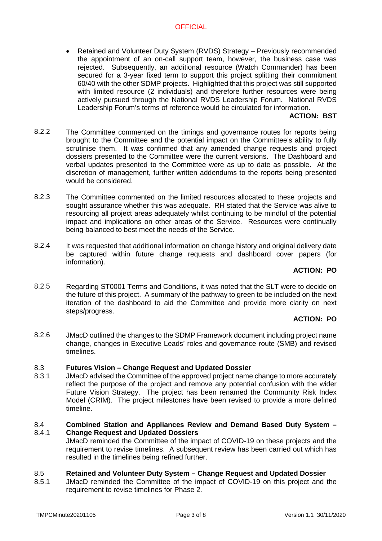Retained and Volunteer Duty System (RVDS) Strategy – Previously recommended the appointment of an on-call support team, however, the business case was rejected. Subsequently, an additional resource (Watch Commander) has been secured for a 3-year fixed term to support this project splitting their commitment 60/40 with the other SDMP projects. Highlighted that this project was still supported with limited resource (2 individuals) and therefore further resources were being actively pursued through the National RVDS Leadership Forum. National RVDS Leadership Forum's terms of reference would be circulated for information.

## **ACTION: BST**

- 8.22 The Committee commented on the timings and governance routes for reports being brought to the Committee and the potential impact on the Committee's ability to fully scrutinise them. It was confirmed that any amended change requests and project dossiers presented to the Committee were the current versions. The Dashboard and verbal updates presented to the Committee were as up to date as possible. At the discretion of management, further written addendums to the reports being presented would be considered.
- 8.2.3 The Committee commented on the limited resources allocated to these projects and sought assurance whether this was adequate. RH stated that the Service was alive to resourcing all project areas adequately whilst continuing to be mindful of the potential impact and implications on other areas of the Service. Resources were continually being balanced to best meet the needs of the Service.
- 8.2.4 It was requested that additional information on change history and original delivery date be captured within future change requests and dashboard cover papers (for information).

## **ACTION: PO**

8.2.5 Regarding ST0001 Terms and Conditions, it was noted that the SLT were to decide on the future of this project. A summary of the pathway to green to be included on the next iteration of the dashboard to aid the Committee and provide more clarity on next steps/progress.

# **ACTION: PO**

8.2.6 JMacD outlined the changes to the SDMP Framework document including project name change, changes in Executive Leads' roles and governance route (SMB) and revised timelines.

### 8.3 **Futures Vision – Change Request and Updated Dossier**

8.3.1 JMacD advised the Committee of the approved project name change to more accurately reflect the purpose of the project and remove any potential confusion with the wider Future Vision Strategy. The project has been renamed the Community Risk Index Model (CRIM). The project milestones have been revised to provide a more defined timeline.

### 8.4 8.4.1 **Combined Station and Appliances Review and Demand Based Duty System – Change Request and Updated Dossiers**

JMacD reminded the Committee of the impact of COVID-19 on these projects and the requirement to revise timelines. A subsequent review has been carried out which has resulted in the timelines being refined further.

### 8.5 **Retained and Volunteer Duty System – Change Request and Updated Dossier**

8.5.1 JMacD reminded the Committee of the impact of COVID-19 on this project and the requirement to revise timelines for Phase 2.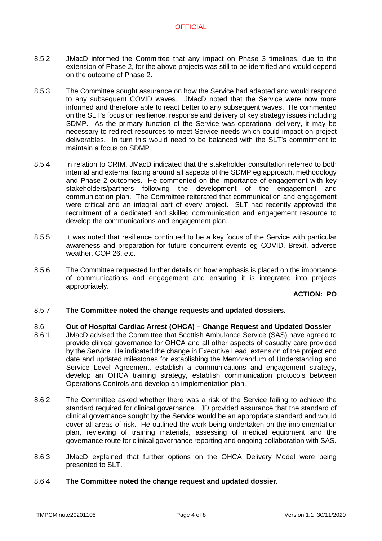- 8.5.2 JMacD informed the Committee that any impact on Phase 3 timelines, due to the extension of Phase 2, for the above projects was still to be identified and would depend on the outcome of Phase 2.
- 8.5.3 The Committee sought assurance on how the Service had adapted and would respond to any subsequent COVID waves. JMacD noted that the Service were now more informed and therefore able to react better to any subsequent waves. He commented on the SLT's focus on resilience, response and delivery of key strategy issues including SDMP. As the primary function of the Service was operational delivery, it may be necessary to redirect resources to meet Service needs which could impact on project deliverables. In turn this would need to be balanced with the SLT's commitment to maintain a focus on SDMP.
- 8.5.4 In relation to CRIM, JMacD indicated that the stakeholder consultation referred to both internal and external facing around all aspects of the SDMP eg approach, methodology and Phase 2 outcomes. He commented on the importance of engagement with key stakeholders/partners following the development of the engagement and communication plan. The Committee reiterated that communication and engagement were critical and an integral part of every project. SLT had recently approved the recruitment of a dedicated and skilled communication and engagement resource to develop the communications and engagement plan.
- 8.5.5 It was noted that resilience continued to be a key focus of the Service with particular awareness and preparation for future concurrent events eg COVID, Brexit, adverse weather, COP 26, etc.
- 8.5.6 The Committee requested further details on how emphasis is placed on the importance of communications and engagement and ensuring it is integrated into projects appropriately.

## **ACTION: PO**

### 8.5.7 **The Committee noted the change requests and updated dossiers.**

### 8.6 **Out of Hospital Cardiac Arrest (OHCA) – Change Request and Updated Dossier**

- 8.6.1 JMacD advised the Committee that Scottish Ambulance Service (SAS) have agreed to provide clinical governance for OHCA and all other aspects of casualty care provided by the Service. He indicated the change in Executive Lead, extension of the project end date and updated milestones for establishing the Memorandum of Understanding and Service Level Agreement, establish a communications and engagement strategy, develop an OHCA training strategy, establish communication protocols between Operations Controls and develop an implementation plan.
- 8.6.2 The Committee asked whether there was a risk of the Service failing to achieve the standard required for clinical governance. JD provided assurance that the standard of clinical governance sought by the Service would be an appropriate standard and would cover all areas of risk. He outlined the work being undertaken on the implementation plan, reviewing of training materials, assessing of medical equipment and the governance route for clinical governance reporting and ongoing collaboration with SAS.
- 8.6.3 JMacD explained that further options on the OHCA Delivery Model were being presented to SLT.

## 8.6.4 **The Committee noted the change request and updated dossier.**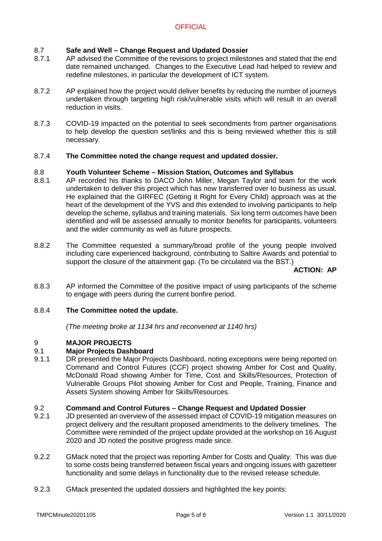## 8.7 **Safe and Well – Change Request and Updated Dossier**

- 8.7.1 AP advised the Committee of the revisions to project milestones and stated that the end date remained unchanged. Changes to the Executive Lead had helped to review and redefine milestones, in particular the development of ICT system.
- 8.7.2 AP explained how the project would deliver benefits by reducing the number of journeys undertaken through targeting high risk/vulnerable visits which will result in an overall reduction in visits.
- 8.7.3 COVID-19 impacted on the potential to seek secondments from partner organisations to help develop the question set/links and this is being reviewed whether this is still necessary.

## 8.7.4 **The Committee noted the change request and updated dossier.**

## 8.8 **Youth Volunteer Scheme – Mission Station, Outcomes and Syllabus**

- 8.8.1 AP recorded his thanks to DACO John Miller, Megan Taylor and team for the work undertaken to deliver this project which has now transferred over to business as usual. He explained that the GIRFEC (Getting it Right for Every Child) approach was at the heart of the development of the YVS and this extended to involving participants to help develop the scheme, syllabus and training materials. Six long term outcomes have been identified and will be assessed annually to monitor benefits for participants, volunteers and the wider community as well as future prospects.
- 8.8.2 The Committee requested a summary/broad profile of the young people involved including care experienced background, contributing to Saltire Awards and potential to support the closure of the attainment gap. (To be circulated via the BST.)

**ACTION: AP**

8.8.3 AP informed the Committee of the positive impact of using participants of the scheme to engage with peers during the current bonfire period.

## 8.8.4 **The Committee noted the update.**

*(The meeting broke at 1134 hrs and reconvened at 1140 hrs)*

## $\mathsf{Q}$ **MAJOR PROJECTS**

### 9.1 **Major Projects Dashboard**

9.1.1 DR presented the Major Projects Dashboard, noting exceptions were being reported on Command and Control Futures (CCF) project showing Amber for Cost and Quality, McDonald Road showing Amber for Time, Cost and Skills/Resources, Protection of Vulnerable Groups Pilot showing Amber for Cost and People, Training, Finance and Assets System showing Amber for Skills/Resources.

## 9.2 **Command and Control Futures – Change Request and Updated Dossier**

- 9.2.1 JD presented an overview of the assessed impact of COVID-19 mitigation measures on project delivery and the resultant proposed amendments to the delivery timelines. The Committee were reminded of the project update provided at the workshop on 16 August 2020 and JD noted the positive progress made since.
- 9.2.2 GMack noted that the project was reporting Amber for Costs and Quality. This was due to some costs being transferred between fiscal years and ongoing issues with gazetteer functionality and some delays in functionality due to the revised release schedule.
- 9.2.3 GMack presented the updated dossiers and highlighted the key points: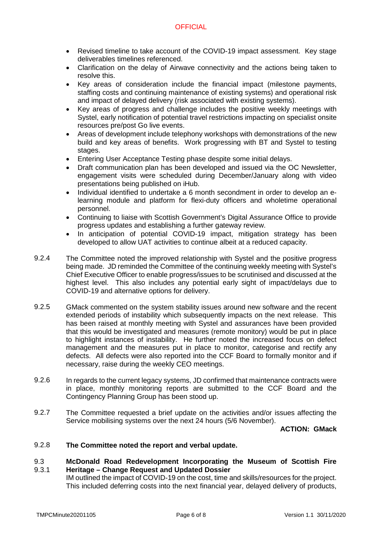- Revised timeline to take account of the COVID-19 impact assessment. Key stage deliverables timelines referenced.
- Clarification on the delay of Airwave connectivity and the actions being taken to resolve this.
- Key areas of consideration include the financial impact (milestone payments, staffing costs and continuing maintenance of existing systems) and operational risk and impact of delayed delivery (risk associated with existing systems).
- Key areas of progress and challenge includes the positive weekly meetings with Systel, early notification of potential travel restrictions impacting on specialist onsite resources pre/post Go live events.
- Areas of development include telephony workshops with demonstrations of the new build and key areas of benefits. Work progressing with BT and Systel to testing stages.
- Entering User Acceptance Testing phase despite some initial delays.
- Draft communication plan has been developed and issued via the OC Newsletter, engagement visits were scheduled during December/January along with video presentations being published on iHub.
- Individual identified to undertake a 6 month secondment in order to develop an elearning module and platform for flexi-duty officers and wholetime operational personnel.
- Continuing to liaise with Scottish Government's Digital Assurance Office to provide progress updates and establishing a further gateway review.
- In anticipation of potential COVID-19 impact, mitigation strategy has been developed to allow UAT activities to continue albeit at a reduced capacity.
- 9.2.4 The Committee noted the improved relationship with Systel and the positive progress being made. JD reminded the Committee of the continuing weekly meeting with Systel's Chief Executive Officer to enable progress/issues to be scrutinised and discussed at the highest level. This also includes any potential early sight of impact/delays due to COVID-19 and alternative options for delivery.
- 9.2.5 GMack commented on the system stability issues around new software and the recent extended periods of instability which subsequently impacts on the next release. This has been raised at monthly meeting with Systel and assurances have been provided that this would be investigated and measures (remote monitory) would be put in place to highlight instances of instability. He further noted the increased focus on defect management and the measures put in place to monitor, categorise and rectify any defects. All defects were also reported into the CCF Board to formally monitor and if necessary, raise during the weekly CEO meetings.
- 9.2.6 In regards to the current legacy systems, JD confirmed that maintenance contracts were in place, monthly monitoring reports are submitted to the CCF Board and the Contingency Planning Group has been stood up.
- 9.2.7 The Committee requested a brief update on the activities and/or issues affecting the Service mobilising systems over the next 24 hours (5/6 November).

**ACTION: GMack**

9.2.8 **The Committee noted the report and verbal update.**

### 9.3 9.3.1 **McDonald Road Redevelopment Incorporating the Museum of Scottish Fire Heritage – Change Request and Updated Dossier**

IM outlined the impact of COVID-19 on the cost, time and skills/resources for the project. This included deferring costs into the next financial year, delayed delivery of products,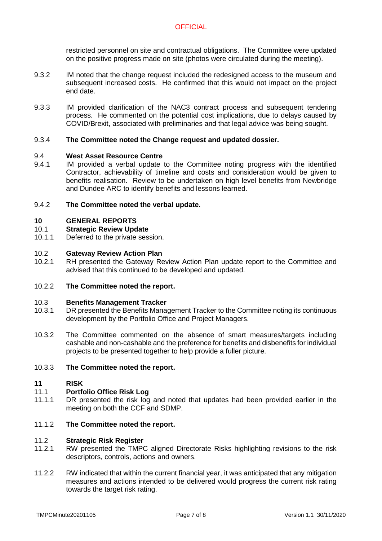restricted personnel on site and contractual obligations. The Committee were updated on the positive progress made on site (photos were circulated during the meeting).

- 9.3.2 IM noted that the change request included the redesigned access to the museum and subsequent increased costs. He confirmed that this would not impact on the project end date.
- 9.3.3 IM provided clarification of the NAC3 contract process and subsequent tendering process. He commented on the potential cost implications, due to delays caused by COVID/Brexit, associated with preliminaries and that legal advice was being sought.

## 9.3.4 **The Committee noted the Change request and updated dossier.**

### 9.4 **West Asset Resource Centre**

9.4.1 IM provided a verbal update to the Committee noting progress with the identified Contractor, achievability of timeline and costs and consideration would be given to benefits realisation. Review to be undertaken on high level benefits from Newbridge and Dundee ARC to identify benefits and lessons learned.

## 9.4.2 **The Committee noted the verbal update.**

## **10 GENERAL REPORTS**

## 10.1 **Strategic Review Update**

10.1.1 Deferred to the private session.

### 10.2 **Gateway Review Action Plan**

10.2.1 RH presented the Gateway Review Action Plan update report to the Committee and advised that this continued to be developed and updated.

## 10.2.2 **The Committee noted the report.**

### 10.3 **Benefits Management Tracker**

- 10.3.1 DR presented the Benefits Management Tracker to the Committee noting its continuous development by the Portfolio Office and Project Managers.
- 10.3.2 The Committee commented on the absence of smart measures/targets including cashable and non-cashable and the preference for benefits and disbenefits for individual projects to be presented together to help provide a fuller picture.

### 10.3.3 **The Committee noted the report.**

### **11 RISK**

### 11.1 **Portfolio Office Risk Log**

11.1.1 DR presented the risk log and noted that updates had been provided earlier in the meeting on both the CCF and SDMP.

### 11.1.2 **The Committee noted the report.**

### 11.2 **Strategic Risk Register**

- 11.2.1 RW presented the TMPC aligned Directorate Risks highlighting revisions to the risk descriptors, controls, actions and owners.
- 11.2.2 RW indicated that within the current financial year, it was anticipated that any mitigation measures and actions intended to be delivered would progress the current risk rating towards the target risk rating.